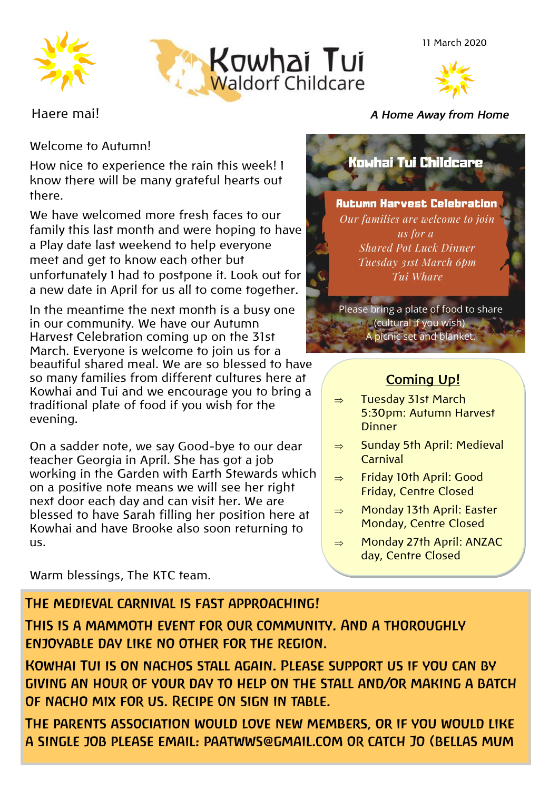



11 March 2020



### Welcome to Autumn!

How nice to experience the rain this week! I know there will be many grateful hearts out there.

We have welcomed more fresh faces to our family this last month and were hoping to have a Play date last weekend to help everyone meet and get to know each other but unfortunately I had to postpone it. Look out for a new date in April for us all to come together.

In the meantime the next month is a busy one in our community. We have our Autumn Harvest Celebration coming up on the 31st March. Everyone is welcome to join us for a beautiful shared meal. We are so blessed to have so many families from different cultures here at Kowhai and Tui and we encourage you to bring a traditional plate of food if you wish for the evening.

On a sadder note, we say Good-bye to our dear teacher Georgia in April. She has got a job working in the Garden with Earth Stewards which on a positive note means we will see her right next door each day and can visit her. We are blessed to have Sarah filling her position here at Kowhai and have Brooke also soon returning to us.

Warm blessings, The KTC team.

## Haere mai! *A Home Away from Home*

# **Kowhai Tui Childcare**

#### Autumn Harvest Celebration Our families are welcome to join us for a **Shared Pot Luck Dinner** Tuesday 31st March 6pm Tui Whare

Please bring a plate of food to share **Cultural if you wish**) A picnic set and blanket.

## **Coming Up!**

- $\Rightarrow$  Tuesday 31st March 5:30pm: Autumn Harvest **Dinner**
- $\Rightarrow$  Sunday 5th April: Medieval Carnival
- $\Rightarrow$  Friday 10th April: Good Friday, Centre Closed
- $\Rightarrow$  Monday 13th April: Easter Monday, Centre Closed
- $\Rightarrow$  Monday 27th April: ANZAC day, Centre Closed

## THE MEDIEVAL CARNIVAL IS FAST APPROACHING!

THIS IS A MAMMOTH EVENT FOR OUR COMMUNITY. AND A THOROUGHLY ENJOYABLE DAY LIKE NO OTHER FOR THE REGION.

KOWHAI TUI IS ON NACHOS STALL AGAIN. PLEASE SUPPORT US IF YOU CAN BY GIVING AN HOUR OF YOUR DAY TO HELP ON THE STALL AND/OR MAKING A BATCH OF NACHO MIX FOR US. RECIPE ON SIGN IN TABLE.

THE PARENTS ASSOCIATION WOULD LOVE NEW MEMBERS. OR IF YOU WOULD LIKE A SINGLE JOB PLEASE EMAIL: PAATWWS@GMAIL.COM OR CATCH JO (BELLAS MUM